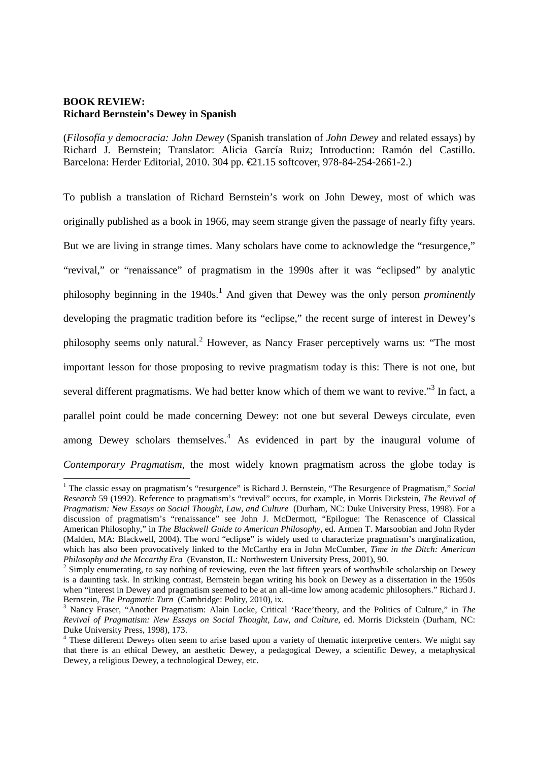## **BOOK REVIEW: Richard Bernstein's Dewey in Spanish**

-

(*Filosofía y democracia: John Dewey* (Spanish translation of *John Dewey* and related essays) by Richard J. Bernstein; Translator: Alicia García Ruiz; Introduction: Ramón del Castillo. Barcelona: Herder Editorial, 2010. 304 pp. €21.15 softcover, 978-84-254-2661-2.)

To publish a translation of Richard Bernstein's work on John Dewey, most of which was originally published as a book in 1966, may seem strange given the passage of nearly fifty years. But we are living in strange times. Many scholars have come to acknowledge the "resurgence," "revival," or "renaissance" of pragmatism in the 1990s after it was "eclipsed" by analytic philosophy beginning in the 1940s.<sup>1</sup> And given that Dewey was the only person *prominently* developing the pragmatic tradition before its "eclipse," the recent surge of interest in Dewey's philosophy seems only natural.<sup>2</sup> However, as Nancy Fraser perceptively warns us: "The most important lesson for those proposing to revive pragmatism today is this: There is not one, but several different pragmatisms. We had better know which of them we want to revive."<sup>3</sup> In fact, a parallel point could be made concerning Dewey: not one but several Deweys circulate, even among Dewey scholars themselves. $4$  As evidenced in part by the inaugural volume of *Contemporary Pragmatism*, the most widely known pragmatism across the globe today is

<sup>&</sup>lt;sup>1</sup> The classic essay on pragmatism's "resurgence" is Richard J. Bernstein, "The Resurgence of Pragmatism," Social *Research* 59 (1992). Reference to pragmatism's "revival" occurs, for example, in Morris Dickstein, *The Revival of Pragmatism: New Essays on Social Thought, Law, and Culture* (Durham, NC: Duke University Press, 1998). For a discussion of pragmatism's "renaissance" see John J. McDermott, "Epilogue: The Renascence of Classical American Philosophy," in *The Blackwell Guide to American Philosophy*, ed. Armen T. Marsoobian and John Ryder (Malden, MA: Blackwell, 2004). The word "eclipse" is widely used to characterize pragmatism's marginalization, which has also been provocatively linked to the McCarthy era in John McCumber, *Time in the Ditch: American Philosophy and the Mccarthy Era* (Evanston, IL: Northwestern University Press, 2001), 90.

 $2$  Simply enumerating, to say nothing of reviewing, even the last fifteen years of worthwhile scholarship on Dewey is a daunting task. In striking contrast, Bernstein began writing his book on Dewey as a dissertation in the 1950s when "interest in Dewey and pragmatism seemed to be at an all-time low among academic philosophers." Richard J. Bernstein, *The Pragmatic Turn* (Cambridge: Polity, 2010), ix.

<sup>3</sup> Nancy Fraser, "Another Pragmatism: Alain Locke, Critical 'Race'theory, and the Politics of Culture," in *The Revival of Pragmatism: New Essays on Social Thought, Law, and Culture*, ed. Morris Dickstein (Durham, NC: Duke University Press, 1998), 173.

<sup>&</sup>lt;sup>4</sup> These different Deweys often seem to arise based upon a variety of thematic interpretive centers. We might say that there is an ethical Dewey, an aesthetic Dewey, a pedagogical Dewey, a scientific Dewey, a metaphysical Dewey, a religious Dewey, a technological Dewey, etc.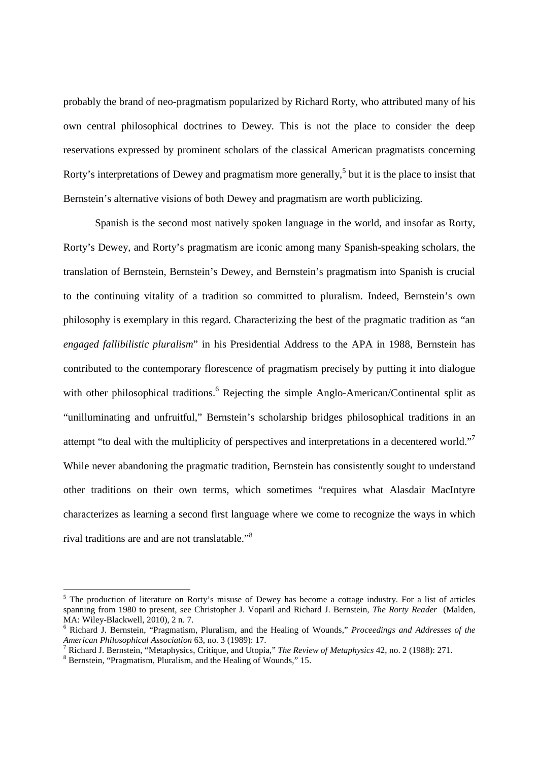probably the brand of neo-pragmatism popularized by Richard Rorty, who attributed many of his own central philosophical doctrines to Dewey. This is not the place to consider the deep reservations expressed by prominent scholars of the classical American pragmatists concerning Rorty's interpretations of Dewey and pragmatism more generally,<sup>5</sup> but it is the place to insist that Bernstein's alternative visions of both Dewey and pragmatism are worth publicizing.

Spanish is the second most natively spoken language in the world, and insofar as Rorty, Rorty's Dewey, and Rorty's pragmatism are iconic among many Spanish-speaking scholars, the translation of Bernstein, Bernstein's Dewey, and Bernstein's pragmatism into Spanish is crucial to the continuing vitality of a tradition so committed to pluralism. Indeed, Bernstein's own philosophy is exemplary in this regard. Characterizing the best of the pragmatic tradition as "an *engaged fallibilistic pluralism*" in his Presidential Address to the APA in 1988, Bernstein has contributed to the contemporary florescence of pragmatism precisely by putting it into dialogue with other philosophical traditions.<sup>6</sup> Rejecting the simple Anglo-American/Continental split as "unilluminating and unfruitful," Bernstein's scholarship bridges philosophical traditions in an attempt "to deal with the multiplicity of perspectives and interpretations in a decentered world." While never abandoning the pragmatic tradition, Bernstein has consistently sought to understand other traditions on their own terms, which sometimes "requires what Alasdair MacIntyre characterizes as learning a second first language where we come to recognize the ways in which rival traditions are and are not translatable."<sup>8</sup>

<sup>&</sup>lt;sup>5</sup> The production of literature on Rorty's misuse of Dewey has become a cottage industry. For a list of articles spanning from 1980 to present, see Christopher J. Voparil and Richard J. Bernstein, *The Rorty Reader* (Malden, MA: Wiley-Blackwell, 2010), 2 n. 7.

<sup>6</sup> Richard J. Bernstein, "Pragmatism, Pluralism, and the Healing of Wounds," *Proceedings and Addresses of the American Philosophical Association* 63, no. 3 (1989): 17.

<sup>7</sup> Richard J. Bernstein, "Metaphysics, Critique, and Utopia," *The Review of Metaphysics* 42, no. 2 (1988): 271.

<sup>8</sup> Bernstein, "Pragmatism, Pluralism, and the Healing of Wounds," 15.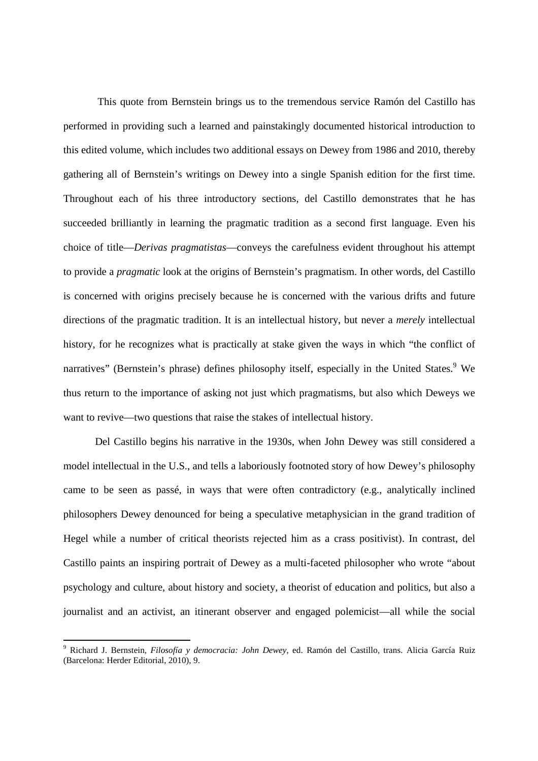This quote from Bernstein brings us to the tremendous service Ramón del Castillo has performed in providing such a learned and painstakingly documented historical introduction to this edited volume, which includes two additional essays on Dewey from 1986 and 2010, thereby gathering all of Bernstein's writings on Dewey into a single Spanish edition for the first time. Throughout each of his three introductory sections, del Castillo demonstrates that he has succeeded brilliantly in learning the pragmatic tradition as a second first language. Even his choice of title—*Derivas pragmatistas*—conveys the carefulness evident throughout his attempt to provide a *pragmatic* look at the origins of Bernstein's pragmatism. In other words, del Castillo is concerned with origins precisely because he is concerned with the various drifts and future directions of the pragmatic tradition. It is an intellectual history, but never a *merely* intellectual history, for he recognizes what is practically at stake given the ways in which "the conflict of narratives" (Bernstein's phrase) defines philosophy itself, especially in the United States.<sup>9</sup> We thus return to the importance of asking not just which pragmatisms, but also which Deweys we want to revive—two questions that raise the stakes of intellectual history.

Del Castillo begins his narrative in the 1930s, when John Dewey was still considered a model intellectual in the U.S., and tells a laboriously footnoted story of how Dewey's philosophy came to be seen as passé, in ways that were often contradictory (e.g., analytically inclined philosophers Dewey denounced for being a speculative metaphysician in the grand tradition of Hegel while a number of critical theorists rejected him as a crass positivist). In contrast, del Castillo paints an inspiring portrait of Dewey as a multi-faceted philosopher who wrote "about psychology and culture, about history and society, a theorist of education and politics, but also a journalist and an activist, an itinerant observer and engaged polemicist—all while the social

<u>.</u>

<sup>9</sup> Richard J. Bernstein, *Filosofía y democracia: John Dewey*, ed. Ramón del Castillo, trans. Alicia García Ruiz (Barcelona: Herder Editorial, 2010), 9.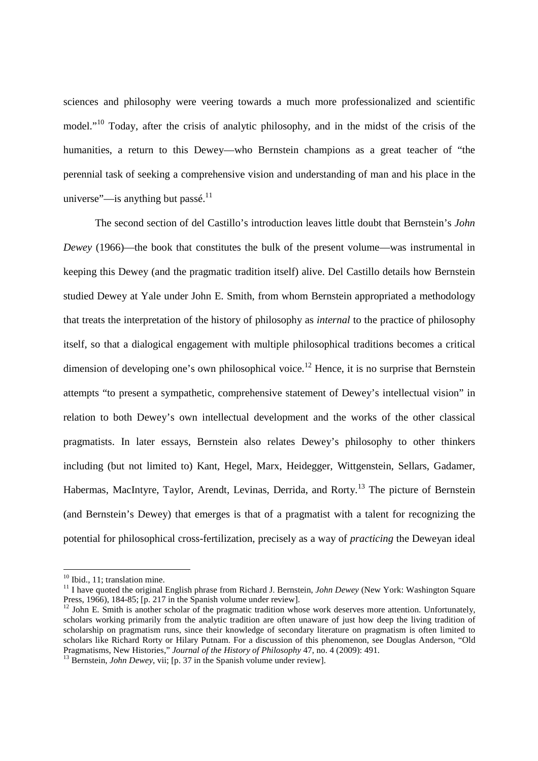sciences and philosophy were veering towards a much more professionalized and scientific model."<sup>10</sup> Today, after the crisis of analytic philosophy, and in the midst of the crisis of the humanities, a return to this Dewey—who Bernstein champions as a great teacher of "the perennial task of seeking a comprehensive vision and understanding of man and his place in the universe"—is anything but passé. $11$ 

The second section of del Castillo's introduction leaves little doubt that Bernstein's *John Dewey* (1966)—the book that constitutes the bulk of the present volume—was instrumental in keeping this Dewey (and the pragmatic tradition itself) alive. Del Castillo details how Bernstein studied Dewey at Yale under John E. Smith, from whom Bernstein appropriated a methodology that treats the interpretation of the history of philosophy as *internal* to the practice of philosophy itself, so that a dialogical engagement with multiple philosophical traditions becomes a critical dimension of developing one's own philosophical voice.<sup>12</sup> Hence, it is no surprise that Bernstein attempts "to present a sympathetic, comprehensive statement of Dewey's intellectual vision" in relation to both Dewey's own intellectual development and the works of the other classical pragmatists. In later essays, Bernstein also relates Dewey's philosophy to other thinkers including (but not limited to) Kant, Hegel, Marx, Heidegger, Wittgenstein, Sellars, Gadamer, Habermas, MacIntyre, Taylor, Arendt, Levinas, Derrida, and Rorty.<sup>13</sup> The picture of Bernstein (and Bernstein's Dewey) that emerges is that of a pragmatist with a talent for recognizing the potential for philosophical cross-fertilization, precisely as a way of *practicing* the Deweyan ideal

<sup>&</sup>lt;sup>10</sup> Ibid., 11; translation mine.

<sup>&</sup>lt;sup>11</sup> I have quoted the original English phrase from Richard J. Bernstein, *John Dewey* (New York: Washington Square Press, 1966), 184-85; [p. 217 in the Spanish volume under review].

 $12$  John E. Smith is another scholar of the pragmatic tradition whose work deserves more attention. Unfortunately, scholars working primarily from the analytic tradition are often unaware of just how deep the living tradition of scholarship on pragmatism runs, since their knowledge of secondary literature on pragmatism is often limited to scholars like Richard Rorty or Hilary Putnam. For a discussion of this phenomenon, see Douglas Anderson, "Old Pragmatisms, New Histories," *Journal of the History of Philosophy* 47, no. 4 (2009): 491.

<sup>&</sup>lt;sup>13</sup> Bernstein, *John Dewey*, vii; [p. 37 in the Spanish volume under review].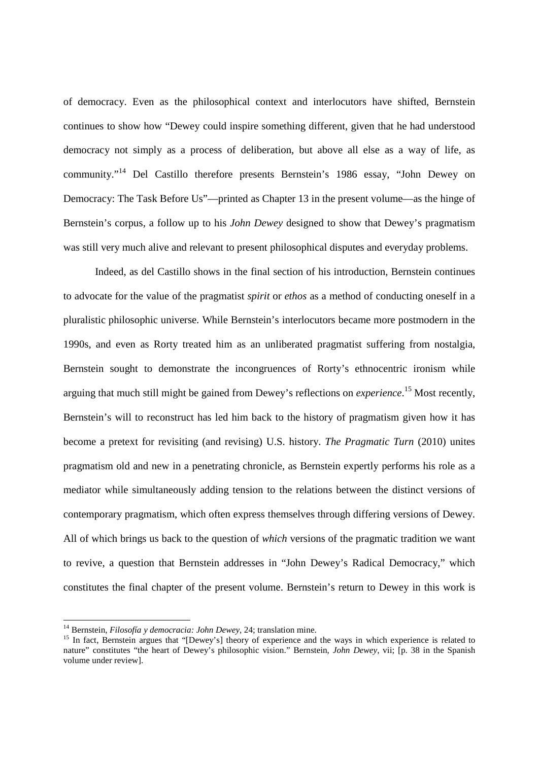of democracy. Even as the philosophical context and interlocutors have shifted, Bernstein continues to show how "Dewey could inspire something different, given that he had understood democracy not simply as a process of deliberation, but above all else as a way of life, as community."<sup>14</sup> Del Castillo therefore presents Bernstein's 1986 essay, "John Dewey on Democracy: The Task Before Us"—printed as Chapter 13 in the present volume—as the hinge of Bernstein's corpus, a follow up to his *John Dewey* designed to show that Dewey's pragmatism was still very much alive and relevant to present philosophical disputes and everyday problems.

Indeed, as del Castillo shows in the final section of his introduction, Bernstein continues to advocate for the value of the pragmatist *spirit* or *ethos* as a method of conducting oneself in a pluralistic philosophic universe. While Bernstein's interlocutors became more postmodern in the 1990s, and even as Rorty treated him as an unliberated pragmatist suffering from nostalgia, Bernstein sought to demonstrate the incongruences of Rorty's ethnocentric ironism while arguing that much still might be gained from Dewey's reflections on *experience*. <sup>15</sup> Most recently, Bernstein's will to reconstruct has led him back to the history of pragmatism given how it has become a pretext for revisiting (and revising) U.S. history. *The Pragmatic Turn* (2010) unites pragmatism old and new in a penetrating chronicle, as Bernstein expertly performs his role as a mediator while simultaneously adding tension to the relations between the distinct versions of contemporary pragmatism, which often express themselves through differing versions of Dewey. All of which brings us back to the question of *which* versions of the pragmatic tradition we want to revive, a question that Bernstein addresses in "John Dewey's Radical Democracy," which constitutes the final chapter of the present volume. Bernstein's return to Dewey in this work is

<sup>14</sup> Bernstein, *Filosofía y democracia: John Dewey*, 24; translation mine.

<sup>&</sup>lt;sup>15</sup> In fact, Bernstein argues that "[Dewey's] theory of experience and the ways in which experience is related to nature" constitutes "the heart of Dewey's philosophic vision." Bernstein, *John Dewey*, vii; [p. 38 in the Spanish volume under review].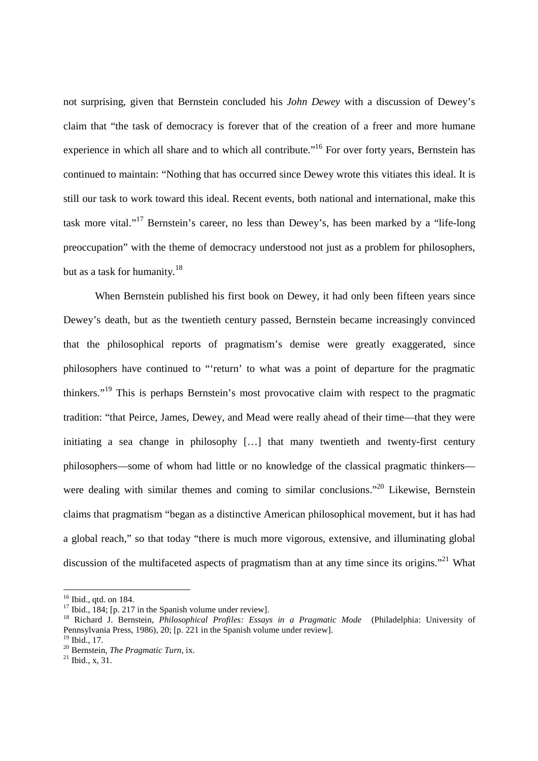not surprising, given that Bernstein concluded his *John Dewey* with a discussion of Dewey's claim that "the task of democracy is forever that of the creation of a freer and more humane experience in which all share and to which all contribute."<sup>16</sup> For over forty years, Bernstein has continued to maintain: "Nothing that has occurred since Dewey wrote this vitiates this ideal. It is still our task to work toward this ideal. Recent events, both national and international, make this task more vital."<sup>17</sup> Bernstein's career, no less than Dewey's, has been marked by a "life-long preoccupation" with the theme of democracy understood not just as a problem for philosophers, but as a task for humanity.<sup>18</sup>

When Bernstein published his first book on Dewey, it had only been fifteen years since Dewey's death, but as the twentieth century passed, Bernstein became increasingly convinced that the philosophical reports of pragmatism's demise were greatly exaggerated, since philosophers have continued to "'return' to what was a point of departure for the pragmatic thinkers."<sup>19</sup> This is perhaps Bernstein's most provocative claim with respect to the pragmatic tradition: "that Peirce, James, Dewey, and Mead were really ahead of their time—that they were initiating a sea change in philosophy […] that many twentieth and twenty-first century philosophers—some of whom had little or no knowledge of the classical pragmatic thinkers were dealing with similar themes and coming to similar conclusions."<sup>20</sup> Likewise, Bernstein claims that pragmatism "began as a distinctive American philosophical movement, but it has had a global reach," so that today "there is much more vigorous, extensive, and illuminating global discussion of the multifaceted aspects of pragmatism than at any time since its origins."<sup>21</sup> What

<sup>16</sup> Ibid., qtd. on 184.

<sup>&</sup>lt;sup>17</sup> Ibid., 184; [p. 217 in the Spanish volume under review].

<sup>18</sup> Richard J. Bernstein, *Philosophical Profiles: Essays in a Pragmatic Mode* (Philadelphia: University of Pennsylvania Press, 1986), 20; [p. 221 in the Spanish volume under review].

 $19$  Ibid., 17.

<sup>20</sup> Bernstein, *The Pragmatic Turn*, ix.

 $21$  Ibid., x, 31.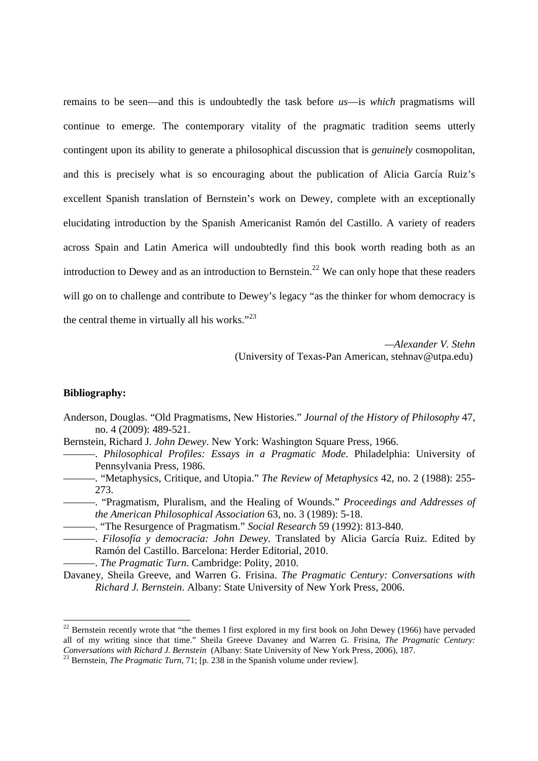remains to be seen—and this is undoubtedly the task before *us*—is *which* pragmatisms will continue to emerge. The contemporary vitality of the pragmatic tradition seems utterly contingent upon its ability to generate a philosophical discussion that is *genuinely* cosmopolitan, and this is precisely what is so encouraging about the publication of Alicia García Ruiz's excellent Spanish translation of Bernstein's work on Dewey, complete with an exceptionally elucidating introduction by the Spanish Americanist Ramón del Castillo. A variety of readers across Spain and Latin America will undoubtedly find this book worth reading both as an introduction to Dewey and as an introduction to Bernstein.<sup>22</sup> We can only hope that these readers will go on to challenge and contribute to Dewey's legacy "as the thinker for whom democracy is the central theme in virtually all his works." $^{23}$ 

> *—Alexander V. Stehn*  (University of Texas-Pan American, stehnav@utpa.edu)

## **Bibliography:**

- Anderson, Douglas. "Old Pragmatisms, New Histories." *Journal of the History of Philosophy* 47, no. 4 (2009): 489-521.
- Bernstein, Richard J. *John Dewey*. New York: Washington Square Press, 1966.
	- ———. *Philosophical Profiles: Essays in a Pragmatic Mode*. Philadelphia: University of Pennsylvania Press, 1986.
	- ———. "Metaphysics, Critique, and Utopia." *The Review of Metaphysics* 42, no. 2 (1988): 255- 273.
		- ———. "Pragmatism, Pluralism, and the Healing of Wounds." *Proceedings and Addresses of the American Philosophical Association* 63, no. 3 (1989): 5-18.
	- ———. "The Resurgence of Pragmatism." *Social Research* 59 (1992): 813-840.
- ———. *Filosofía y democracia: John Dewey*. Translated by Alicia García Ruiz. Edited by Ramón del Castillo. Barcelona: Herder Editorial, 2010.
	- ———. *The Pragmatic Turn*. Cambridge: Polity, 2010.
- Davaney, Sheila Greeve, and Warren G. Frisina. *The Pragmatic Century: Conversations with Richard J. Bernstein*. Albany: State University of New York Press, 2006.

 $22$  Bernstein recently wrote that "the themes I first explored in my first book on John Dewey (1966) have pervaded all of my writing since that time." Sheila Greeve Davaney and Warren G. Frisina, *The Pragmatic Century: Conversations with Richard J. Bernstein* (Albany: State University of New York Press, 2006), 187.

<sup>23</sup> Bernstein, *The Pragmatic Turn*, 71; [p. 238 in the Spanish volume under review].